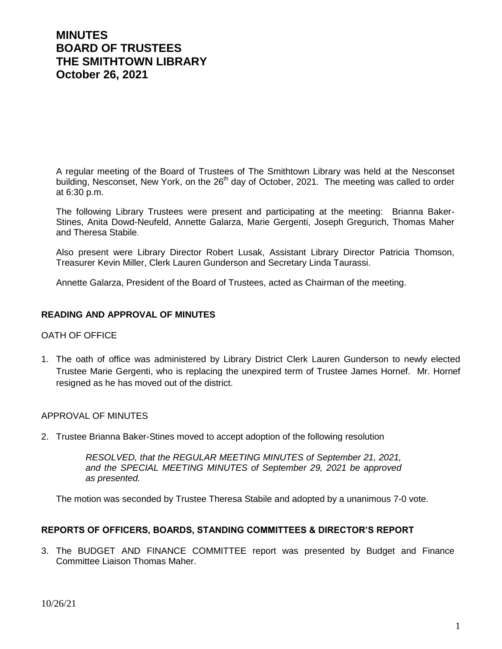# **MINUTES BOARD OF TRUSTEES THE SMITHTOWN LIBRARY October 26, 2021**

A regular meeting of the Board of Trustees of The Smithtown Library was held at the Nesconset building, Nesconset, New York, on the 26<sup>th</sup> day of October, 2021. The meeting was called to order at 6:30 p.m.

The following Library Trustees were present and participating at the meeting: Brianna Baker-Stines, Anita Dowd-Neufeld, Annette Galarza, Marie Gergenti, Joseph Gregurich, Thomas Maher and Theresa Stabile.

Also present were Library Director Robert Lusak, Assistant Library Director Patricia Thomson, Treasurer Kevin Miller, Clerk Lauren Gunderson and Secretary Linda Taurassi.

Annette Galarza, President of the Board of Trustees, acted as Chairman of the meeting.

## **READING AND APPROVAL OF MINUTES**

## OATH OF OFFICE

1. The oath of office was administered by Library District Clerk Lauren Gunderson to newly elected Trustee Marie Gergenti, who is replacing the unexpired term of Trustee James Hornef. Mr. Hornef resigned as he has moved out of the district.

## APPROVAL OF MINUTES

2. Trustee Brianna Baker-Stines moved to accept adoption of the following resolution

*RESOLVED, that the REGULAR MEETING MINUTES of September 21, 2021, and the SPECIAL MEETING MINUTES of September 29, 2021 be approved as presented.*

The motion was seconded by Trustee Theresa Stabile and adopted by a unanimous 7-0 vote.

## **REPORTS OF OFFICERS, BOARDS, STANDING COMMITTEES & DIRECTOR'S REPORT**

3. The BUDGET AND FINANCE COMMITTEE report was presented by Budget and Finance Committee Liaison Thomas Maher.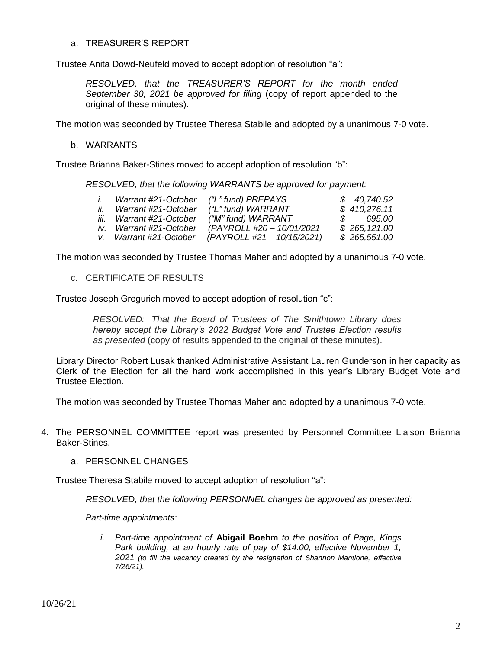## a. TREASURER'S REPORT

Trustee Anita Dowd-Neufeld moved to accept adoption of resolution "a":

*RESOLVED, that the TREASURER'S REPORT for the month ended September 30, 2021 be approved for filing* (copy of report appended to the original of these minutes).

The motion was seconded by Trustee Theresa Stabile and adopted by a unanimous 7-0 vote.

## b. WARRANTS

Trustee Brianna Baker-Stines moved to accept adoption of resolution "b":

*RESOLVED, that the following WARRANTS be approved for payment:*

|     | Warrant #21-October      | ("L" fund) PREPAYS         |               | \$40,740.52  |
|-----|--------------------------|----------------------------|---------------|--------------|
| İİ. | Warrant #21-October      | ("L" fund) WARRANT         |               | \$410,276.11 |
|     | iii. Warrant #21-October | ("M" fund) WARRANT         | $\mathcal{S}$ | 695.00       |
|     | iv. Warrant #21-October  | (PAYROLL #20 - 10/01/2021  |               | \$265,121.00 |
|     | v. Warrant #21-October   | (PAYROLL #21 – 10/15/2021) |               | \$265,551.00 |

The motion was seconded by Trustee Thomas Maher and adopted by a unanimous 7-0 vote.

c. CERTIFICATE OF RESULTS

Trustee Joseph Gregurich moved to accept adoption of resolution "c":

*RESOLVED: That the Board of Trustees of The Smithtown Library does hereby accept the Library's 2022 Budget Vote and Trustee Election results as presented* (copy of results appended to the original of these minutes).

Library Director Robert Lusak thanked Administrative Assistant Lauren Gunderson in her capacity as Clerk of the Election for all the hard work accomplished in this year's Library Budget Vote and Trustee Election.

The motion was seconded by Trustee Thomas Maher and adopted by a unanimous 7-0 vote.

- 4. The PERSONNEL COMMITTEE report was presented by Personnel Committee Liaison Brianna Baker-Stines.
	- a. PERSONNEL CHANGES

Trustee Theresa Stabile moved to accept adoption of resolution "a":

*RESOLVED, that the following PERSONNEL changes be approved as presented:*

*Part-time appointments:*

*i. Part-time appointment of* **Abigail Boehm** *to the position of Page, Kings Park building, at an hourly rate of pay of \$14.00, effective November 1, 2021 (to fill the vacancy created by the resignation of Shannon Mantione, effective 7/26/21).*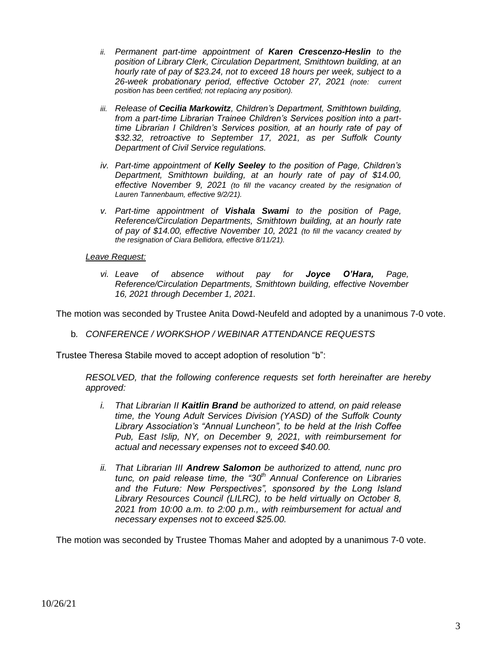- *ii. Permanent part-time appointment of Karen Crescenzo-Heslin to the position of Library Clerk, Circulation Department, Smithtown building, at an hourly rate of pay of \$23.24, not to exceed 18 hours per week, subject to a 26-week probationary period, effective October 27, 2021 (note: current position has been certified; not replacing any position).*
- *iii. Release of Cecilia Markowitz, Children's Department, Smithtown building, from a part-time Librarian Trainee Children's Services position into a parttime Librarian I Children's Services position, at an hourly rate of pay of \$32.32, retroactive to September 17, 2021, as per Suffolk County Department of Civil Service regulations.*
- *iv. Part-time appointment of Kelly Seeley to the position of Page, Children's Department, Smithtown building, at an hourly rate of pay of \$14.00, effective November 9, 2021 (to fill the vacancy created by the resignation of Lauren Tannenbaum, effective 9/2/21).*
- *v. Part-time appointment of Vishala Swami to the position of Page, Reference/Circulation Departments, Smithtown building, at an hourly rate of pay of \$14.00, effective November 10, 2021 (to fill the vacancy created by the resignation of Ciara Bellidora, effective 8/11/21).*

## *Leave Request:*

*vi. Leave of absence without pay for Joyce O'Hara, Page, Reference/Circulation Departments, Smithtown building, effective November 16, 2021 through December 1, 2021.*

The motion was seconded by Trustee Anita Dowd-Neufeld and adopted by a unanimous 7-0 vote.

b*. CONFERENCE / WORKSHOP / WEBINAR ATTENDANCE REQUESTS*

Trustee Theresa Stabile moved to accept adoption of resolution "b":

*RESOLVED, that the following conference requests set forth hereinafter are hereby approved:*

- *i. That Librarian II Kaitlin Brand be authorized to attend, on paid release time, the Young Adult Services Division (YASD) of the Suffolk County Library Association's "Annual Luncheon", to be held at the Irish Coffee Pub, East Islip, NY, on December 9, 2021, with reimbursement for actual and necessary expenses not to exceed \$40.00.*
- *ii. That Librarian III Andrew Salomon be authorized to attend, nunc pro tunc, on paid release time, the "30th Annual Conference on Libraries and the Future: New Perspectives", sponsored by the Long Island Library Resources Council (LILRC), to be held virtually on October 8, 2021 from 10:00 a.m. to 2:00 p.m., with reimbursement for actual and necessary expenses not to exceed \$25.00.*

The motion was seconded by Trustee Thomas Maher and adopted by a unanimous 7-0 vote.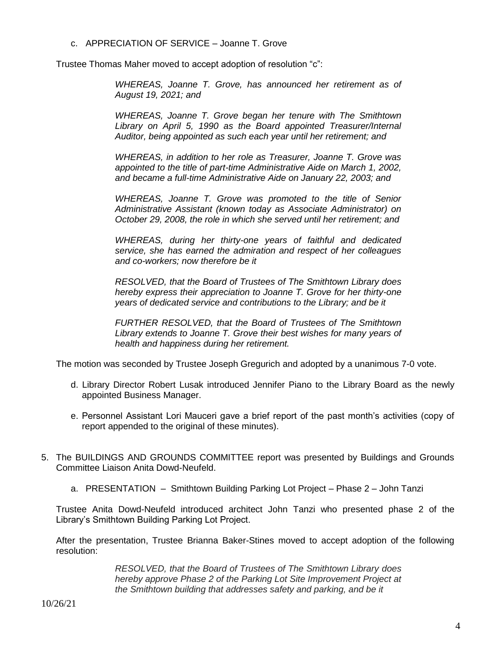c. APPRECIATION OF SERVICE – Joanne T. Grove

Trustee Thomas Maher moved to accept adoption of resolution "c":

*WHEREAS, Joanne T. Grove, has announced her retirement as of August 19, 2021; and*

*WHEREAS, Joanne T. Grove began her tenure with The Smithtown Library on April 5, 1990 as the Board appointed Treasurer/Internal Auditor, being appointed as such each year until her retirement; and*

*WHEREAS, in addition to her role as Treasurer, Joanne T. Grove was*  appointed to the title of part-time Administrative Aide on March 1, 2002, *and became a full-time Administrative Aide on January 22, 2003; and*

*WHEREAS, Joanne T. Grove was promoted to the title of Senior Administrative Assistant (known today as Associate Administrator) on October 29, 2008, the role in which she served until her retirement; and*

*WHEREAS, during her thirty-one years of faithful and dedicated service, she has earned the admiration and respect of her colleagues and co-workers; now therefore be it*

*RESOLVED, that the Board of Trustees of The Smithtown Library does hereby express their appreciation to Joanne T. Grove for her thirty-one years of dedicated service and contributions to the Library; and be it*

*FURTHER RESOLVED, that the Board of Trustees of The Smithtown Library extends to Joanne T. Grove their best wishes for many years of health and happiness during her retirement.*

The motion was seconded by Trustee Joseph Gregurich and adopted by a unanimous 7-0 vote.

- d. Library Director Robert Lusak introduced Jennifer Piano to the Library Board as the newly appointed Business Manager.
- e. Personnel Assistant Lori Mauceri gave a brief report of the past month's activities (copy of report appended to the original of these minutes).
- 5. The BUILDINGS AND GROUNDS COMMITTEE report was presented by Buildings and Grounds Committee Liaison Anita Dowd-Neufeld.
	- a. PRESENTATION Smithtown Building Parking Lot Project Phase 2 John Tanzi

Trustee Anita Dowd-Neufeld introduced architect John Tanzi who presented phase 2 of the Library's Smithtown Building Parking Lot Project.

After the presentation, Trustee Brianna Baker-Stines moved to accept adoption of the following resolution:

> *RESOLVED, that the Board of Trustees of The Smithtown Library does hereby approve Phase 2 of the Parking Lot Site Improvement Project at the Smithtown building that addresses safety and parking, and be it*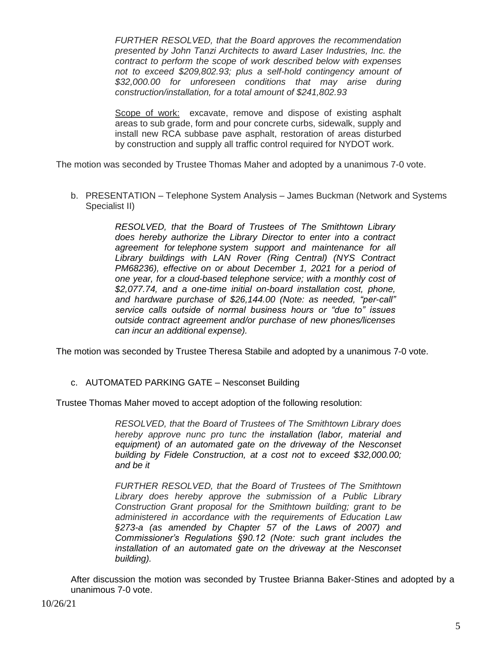*FURTHER RESOLVED, that the Board approves the recommendation presented by John Tanzi Architects to award Laser Industries, Inc. the contract to perform the scope of work described below with expenses not to exceed \$209,802.93; plus a self-hold contingency amount of \$32,000.00 for unforeseen conditions that may arise during construction/installation, for a total amount of \$241,802.93*

Scope of work: excavate, remove and dispose of existing asphalt areas to sub grade, form and pour concrete curbs, sidewalk, supply and install new RCA subbase pave asphalt, restoration of areas disturbed by construction and supply all traffic control required for NYDOT work.

The motion was seconded by Trustee Thomas Maher and adopted by a unanimous 7-0 vote.

b. PRESENTATION – Telephone System Analysis – James Buckman (Network and Systems Specialist II)

> *RESOLVED, that the Board of Trustees of The Smithtown Library does hereby authorize the Library Director to enter into a contract agreement for telephone system support and maintenance for all Library buildings with LAN Rover (Ring Central) (NYS Contract PM68236), effective on or about December 1, 2021 for a period of one year, for a cloud-based telephone service; with a monthly cost of \$2,077.74, and a one-time initial on-board installation cost, phone, and hardware purchase of \$26,144.00 (Note: as needed, "per-call" service calls outside of normal business hours or "due to" issues outside contract agreement and/or purchase of new phones/licenses can incur an additional expense).*

The motion was seconded by Trustee Theresa Stabile and adopted by a unanimous 7-0 vote.

# c. AUTOMATED PARKING GATE – Nesconset Building

Trustee Thomas Maher moved to accept adoption of the following resolution:

*RESOLVED, that the Board of Trustees of The Smithtown Library does hereby approve nunc pro tunc the installation (labor, material and equipment) of an automated gate on the driveway of the Nesconset building by Fidele Construction, at a cost not to exceed \$32,000.00; and be it*

*FURTHER RESOLVED, that the Board of Trustees of The Smithtown Library does hereby approve the submission of a Public Library Construction Grant proposal for the Smithtown building; grant to be administered in accordance with the requirements of Education Law §273-a (as amended by Chapter 57 of the Laws of 2007) and Commissioner's Regulations §90.12 (Note: such grant includes the installation of an automated gate on the driveway at the Nesconset building).*

After discussion the motion was seconded by Trustee Brianna Baker-Stines and adopted by a unanimous 7-0 vote.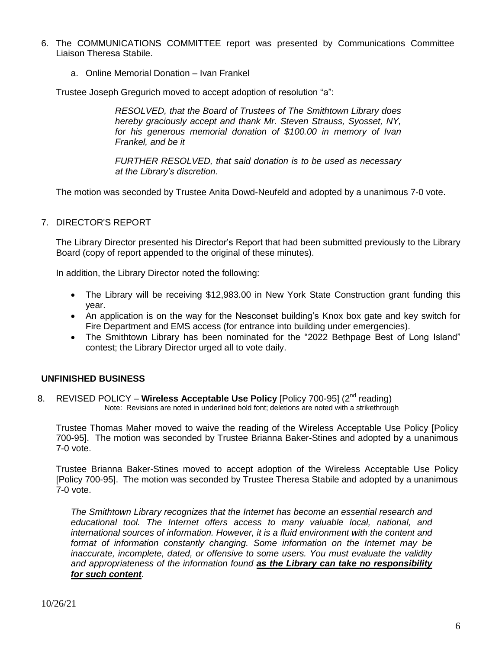- 6. The COMMUNICATIONS COMMITTEE report was presented by Communications Committee Liaison Theresa Stabile.
	- a. Online Memorial Donation Ivan Frankel

Trustee Joseph Gregurich moved to accept adoption of resolution "a":

*RESOLVED, that the Board of Trustees of The Smithtown Library does hereby graciously accept and thank Mr. Steven Strauss, Syosset, NY, for his generous memorial donation of \$100.00 in memory of Ivan Frankel, and be it* 

*FURTHER RESOLVED, that said donation is to be used as necessary at the Library's discretion.*

The motion was seconded by Trustee Anita Dowd-Neufeld and adopted by a unanimous 7-0 vote.

7. DIRECTOR'S REPORT

The Library Director presented his Director's Report that had been submitted previously to the Library Board (copy of report appended to the original of these minutes).

In addition, the Library Director noted the following:

- The Library will be receiving \$12,983.00 in New York State Construction grant funding this year.
- An application is on the way for the Nesconset building's Knox box gate and key switch for Fire Department and EMS access (for entrance into building under emergencies).
- The Smithtown Library has been nominated for the "2022 Bethpage Best of Long Island" contest; the Library Director urged all to vote daily.

## **UNFINISHED BUSINESS**

8. REVISED POLICY - Wireless Acceptable Use Policy [Policy 700-95] (2<sup>nd</sup> reading) Note: Revisions are noted in underlined bold font; deletions are noted with a strikethrough

Trustee Thomas Maher moved to waive the reading of the Wireless Acceptable Use Policy [Policy 700-95]. The motion was seconded by Trustee Brianna Baker-Stines and adopted by a unanimous 7-0 vote.

Trustee Brianna Baker-Stines moved to accept adoption of the Wireless Acceptable Use Policy [Policy 700-95]. The motion was seconded by Trustee Theresa Stabile and adopted by a unanimous 7-0 vote.

*The Smithtown Library recognizes that the Internet has become an essential research and educational tool. The Internet offers access to many valuable local, national, and international sources of information. However, it is a fluid environment with the content and format of information constantly changing. Some information on the Internet may be inaccurate, incomplete, dated, or offensive to some users. You must evaluate the validity and appropriateness of the information found as the Library can take no responsibility for such content.*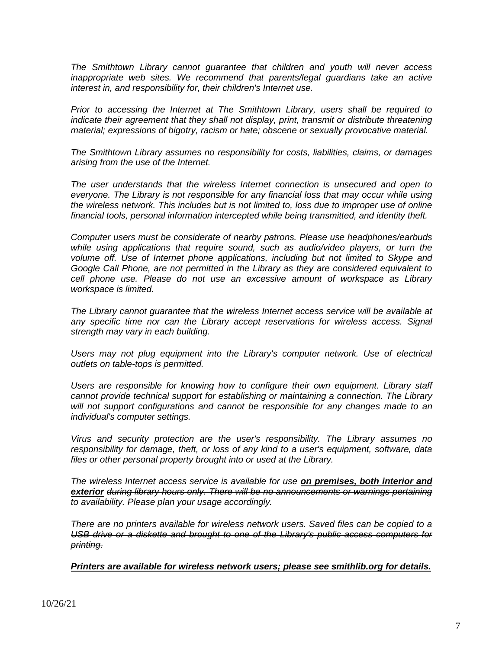*The Smithtown Library cannot guarantee that children and youth will never access inappropriate web sites. We recommend that parents/legal guardians take an active interest in, and responsibility for, their children's Internet use.*

*Prior to accessing the Internet at The Smithtown Library, users shall be required to indicate their agreement that they shall not display, print, transmit or distribute threatening material; expressions of bigotry, racism or hate; obscene or sexually provocative material.*

*The Smithtown Library assumes no responsibility for costs, liabilities, claims, or damages arising from the use of the Internet.*

*The user understands that the wireless Internet connection is unsecured and open to everyone. The Library is not responsible for any financial loss that may occur while using the wireless network. This includes but is not limited to, loss due to improper use of online financial tools, personal information intercepted while being transmitted, and identity theft.*

*Computer users must be considerate of nearby patrons. Please use headphones/earbuds while using applications that require sound, such as audio/video players, or turn the volume off. Use of Internet phone applications, including but not limited to Skype and Google Call Phone, are not permitted in the Library as they are considered equivalent to cell phone use. Please do not use an excessive amount of workspace as Library workspace is limited.*

*The Library cannot guarantee that the wireless Internet access service will be available at any specific time nor can the Library accept reservations for wireless access. Signal strength may vary in each building.*

*Users may not plug equipment into the Library's computer network. Use of electrical outlets on table-tops is permitted.*

*Users are responsible for knowing how to configure their own equipment. Library staff cannot provide technical support for establishing or maintaining a connection. The Library*  will not support configurations and cannot be responsible for any changes made to an *individual's computer settings.*

*Virus and security protection are the user's responsibility. The Library assumes no responsibility for damage, theft, or loss of any kind to a user's equipment, software, data files or other personal property brought into or used at the Library.*

*The wireless Internet access service is available for use on premises, both interior and exterior during library hours only. There will be no announcements or warnings pertaining to availability. Please plan your usage accordingly.*

*There are no printers available for wireless network users. Saved files can be copied to a USB drive or a diskette and brought to one of the Library's public access computers for printing.*

*Printers are available for wireless network users; please see smithlib.org for details.*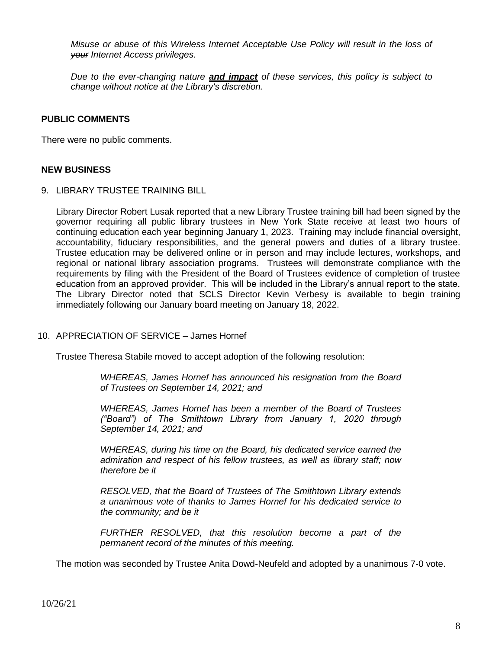*Misuse or abuse of this Wireless Internet Acceptable Use Policy will result in the loss of your Internet Access privileges.*

*Due to the ever-changing nature and impact of these services, this policy is subject to change without notice at the Library's discretion.*

## **PUBLIC COMMENTS**

There were no public comments.

## **NEW BUSINESS**

9. LIBRARY TRUSTEE TRAINING BILL

Library Director Robert Lusak reported that a new Library Trustee training bill had been signed by the governor requiring all public library trustees in New York State receive at least two hours of continuing education each year beginning January 1, 2023. Training may include financial oversight, accountability, fiduciary responsibilities, and the general powers and duties of a library trustee. Trustee education may be delivered online or in person and may include lectures, workshops, and regional or national library association programs. Trustees will demonstrate compliance with the requirements by filing with the President of the Board of Trustees evidence of completion of trustee education from an approved provider. This will be included in the Library's annual report to the state. The Library Director noted that SCLS Director Kevin Verbesy is available to begin training immediately following our January board meeting on January 18, 2022.

## 10. APPRECIATION OF SERVICE – James Hornef

Trustee Theresa Stabile moved to accept adoption of the following resolution:

*WHEREAS, James Hornef has announced his resignation from the Board of Trustees on September 14, 2021; and* 

*WHEREAS, James Hornef has been a member of the Board of Trustees ("Board") of The Smithtown Library from January 1, 2020 through September 14, 2021; and*

*WHEREAS, during his time on the Board, his dedicated service earned the admiration and respect of his fellow trustees, as well as library staff; now therefore be it*

*RESOLVED, that the Board of Trustees of The Smithtown Library extends a unanimous vote of thanks to James Hornef for his dedicated service to the community; and be it*

*FURTHER RESOLVED, that this resolution become a part of the permanent record of the minutes of this meeting.*

The motion was seconded by Trustee Anita Dowd-Neufeld and adopted by a unanimous 7-0 vote.